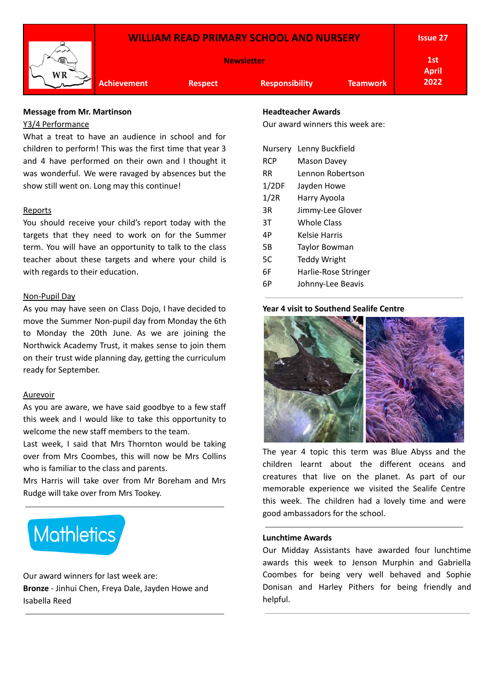

### **Message from Mr. Martinson**

### Y3/4 Performance

What a treat to have an audience in school and for children to perform! This was the first time that year 3 and 4 have performed on their own and I thought it was wonderful. We were ravaged by absences but the show still went on. Long may this continue!

### **Reports**

You should receive your child's report today with the targets that they need to work on for the Summer term. You will have an opportunity to talk to the class teacher about these targets and where your child is with regards to their education.

### Non-Pupil Day

As you may have seen on Class Dojo, I have decided to move the Summer Non-pupil day from Monday the 6th to Monday the 20th June. As we are joining the Northwick Academy Trust, it makes sense to join them on their trust wide planning day, getting the curriculum ready for September.

#### Aurevoir

As you are aware, we have said goodbye to a few staff this week and I would like to take this opportunity to welcome the new staff members to the team.

Last week, I said that Mrs Thornton would be taking over from Mrs Coombes, this will now be Mrs Collins who is familiar to the class and parents.

Mrs Harris will take over from Mr Boreham and Mrs Rudge will take over from Mrs Tookey.



Our award winners for last week are: **Bronze** - Jinhui Chen, Freya Dale, Jayden Howe and Isabella Reed

### **Headteacher Awards**

Our award winners this week are:

| Nursery | Lenny Buckfield      |  |  |  |
|---------|----------------------|--|--|--|
| RCP     | Mason Davey          |  |  |  |
| RR      | Lennon Robertson     |  |  |  |
| 1/2DF   | Jayden Howe          |  |  |  |
| 1/2R    | Harry Ayoola         |  |  |  |
| 3R      | Jimmy-Lee Glover     |  |  |  |
| ЗT      | <b>Whole Class</b>   |  |  |  |
| 4Р      | Kelsie Harris        |  |  |  |
| 5Β      | Taylor Bowman        |  |  |  |
| 5C      | Teddy Wright         |  |  |  |
| 6F      | Harlie-Rose Stringer |  |  |  |
| 6P      | Johnny-Lee Beavis    |  |  |  |
|         |                      |  |  |  |

### **Year 4 visit to Southend Sealife Centre**



The year 4 topic this term was Blue Abyss and the children learnt about the different oceans and creatures that live on the planet. As part of our memorable experience we visited the Sealife Centre this week. The children had a lovely time and were good ambassadors for the school.

#### **Lunchtime Awards**

Our Midday Assistants have awarded four lunchtime awards this week to Jenson Murphin and Gabriella Coombes for being very well behaved and Sophie Donisan and Harley Pithers for being friendly and helpful.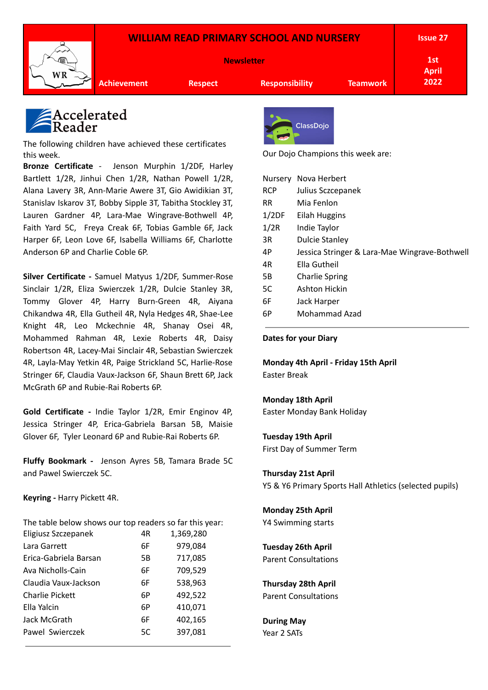### **WILLIAM READ PRIMARY SCHOOL AND NURSERY**



**Newsletter**

**1st April 2022**

**Achievement Respect Responsibility Teamwork**

## Accelerated leader

The following children have achieved these certificates this week.

**Bronze Certificate** - Jenson Murphin 1/2DF, Harley Bartlett 1/2R, Jinhui Chen 1/2R, Nathan Powell 1/2R, Alana Lavery 3R, Ann-Marie Awere 3T, Gio Awidikian 3T, Stanislav Iskarov 3T, Bobby Sipple 3T, Tabitha Stockley 3T, Lauren Gardner 4P, Lara-Mae Wingrave-Bothwell 4P, Faith Yard 5C, Freya Creak 6F, Tobias Gamble 6F, Jack Harper 6F, Leon Love 6F, Isabella Williams 6F, Charlotte Anderson 6P and Charlie Coble 6P.

**Silver Certificate -** Samuel Matyus 1/2DF, Summer-Rose Sinclair 1/2R, Eliza Swierczek 1/2R, Dulcie Stanley 3R, Tommy Glover 4P, Harry Burn-Green 4R, Aiyana Chikandwa 4R, Ella Gutheil 4R, Nyla Hedges 4R, Shae-Lee Knight 4R, Leo Mckechnie 4R, Shanay Osei 4R, Mohammed Rahman 4R, Lexie Roberts 4R, Daisy Robertson 4R, Lacey-Mai Sinclair 4R, Sebastian Swierczek 4R, Layla-May Yetkin 4R, Paige Strickland 5C, Harlie-Rose Stringer 6F, Claudia Vaux-Jackson 6F, Shaun Brett 6P, Jack McGrath 6P and Rubie-Rai Roberts 6P.

**Gold Certificate -** Indie Taylor 1/2R, Emir Enginov 4P, Jessica Stringer 4P, Erica-Gabriela Barsan 5B, Maisie Glover 6F, Tyler Leonard 6P and Rubie-Rai Roberts 6P.

**Fluffy Bookmark -** Jenson Ayres 5B, Tamara Brade 5C and Pawel Swierczek 5C.

**Keyring -** Harry Pickett 4R.

| The table below shows our top readers so far this year: |     |           |
|---------------------------------------------------------|-----|-----------|
| Eligiusz Szczepanek                                     | 4R  | 1,369,280 |
| Lara Garrett                                            | 6F. | 979,084   |
| Erica-Gabriela Barsan                                   | 5B  | 717,085   |
| Ava Nicholls-Cain                                       | 6F. | 709,529   |
| Claudia Vaux-Jackson                                    | 6F  | 538,963   |
| <b>Charlie Pickett</b>                                  | 6Р  | 492,522   |
| Ella Yalcin                                             | 6Р  | 410,071   |
| Jack McGrath                                            | 6F  | 402,165   |
| Pawel Swierczek                                         | 5C  | 397,081   |
|                                                         |     |           |



Our Dojo Champions this week are:

|            | Nursery Nova Herbert                          |
|------------|-----------------------------------------------|
| <b>RCP</b> | Julius Sczcepanek                             |
| <b>RR</b>  | Mia Fenlon                                    |
| 1/2DF      | Eilah Huggins                                 |
| 1/2R       | Indie Taylor                                  |
| 3R         | <b>Dulcie Stanley</b>                         |
| 4P         | Jessica Stringer & Lara-Mae Wingrave-Bothwell |
| 4R         | Ella Gutheil                                  |
| 5Β         | <b>Charlie Spring</b>                         |
| 5C         | Ashton Hickin                                 |
| 6F         | Jack Harper                                   |
| 6P         | Mohammad Azad                                 |

**Dates for your Diary**

**Monday 4th April - Friday 15th April** Easter Break

### **Monday 18th April**

Easter Monday Bank Holiday

### **Tuesday 19th April**

First Day of Summer Term

### **Thursday 21st April**

Y5 & Y6 Primary Sports Hall Athletics (selected pupils)

**Monday 25th April** Y4 Swimming starts

## **Tuesday 26th April**

Parent Consultations

### **Thursday 28th April**

Parent Consultations

**During May** Year 2 SATs